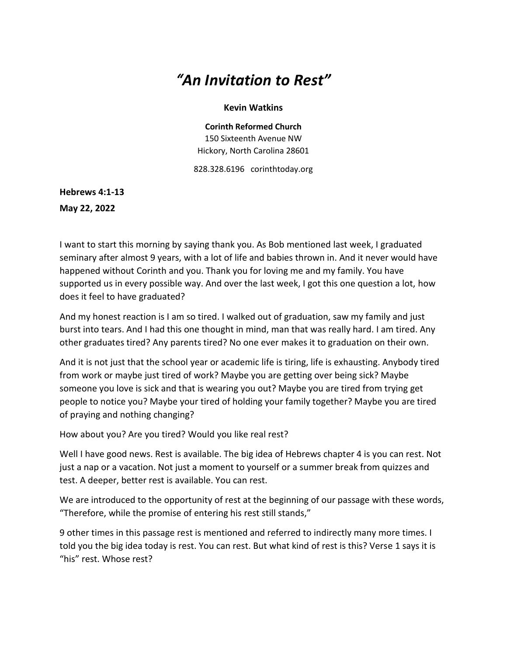## *"An Invitation to Rest"*

## **Kevin Watkins**

**Corinth Reformed Church** 150 Sixteenth Avenue NW Hickory, North Carolina 28601

828.328.6196 corinthtoday.org

**Hebrews 4:1-13 May 22, 2022**

I want to start this morning by saying thank you. As Bob mentioned last week, I graduated seminary after almost 9 years, with a lot of life and babies thrown in. And it never would have happened without Corinth and you. Thank you for loving me and my family. You have supported us in every possible way. And over the last week, I got this one question a lot, how does it feel to have graduated?

And my honest reaction is I am so tired. I walked out of graduation, saw my family and just burst into tears. And I had this one thought in mind, man that was really hard. I am tired. Any other graduates tired? Any parents tired? No one ever makes it to graduation on their own.

And it is not just that the school year or academic life is tiring, life is exhausting. Anybody tired from work or maybe just tired of work? Maybe you are getting over being sick? Maybe someone you love is sick and that is wearing you out? Maybe you are tired from trying get people to notice you? Maybe your tired of holding your family together? Maybe you are tired of praying and nothing changing?

How about you? Are you tired? Would you like real rest?

Well I have good news. Rest is available. The big idea of Hebrews chapter 4 is you can rest. Not just a nap or a vacation. Not just a moment to yourself or a summer break from quizzes and test. A deeper, better rest is available. You can rest.

We are introduced to the opportunity of rest at the beginning of our passage with these words, "Therefore, while the promise of entering his rest still stands,"

9 other times in this passage rest is mentioned and referred to indirectly many more times. I told you the big idea today is rest. You can rest. But what kind of rest is this? Verse 1 says it is "his" rest. Whose rest?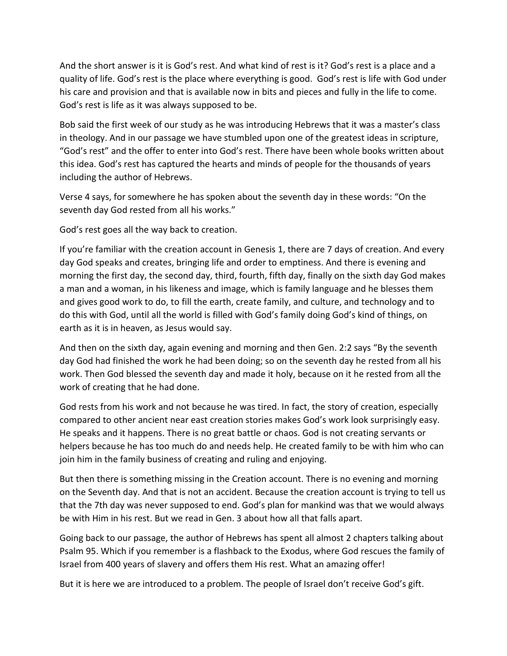And the short answer is it is God's rest. And what kind of rest is it? God's rest is a place and a quality of life. God's rest is the place where everything is good. God's rest is life with God under his care and provision and that is available now in bits and pieces and fully in the life to come. God's rest is life as it was always supposed to be.

Bob said the first week of our study as he was introducing Hebrews that it was a master's class in theology. And in our passage we have stumbled upon one of the greatest ideas in scripture, "God's rest" and the offer to enter into God's rest. There have been whole books written about this idea. God's rest has captured the hearts and minds of people for the thousands of years including the author of Hebrews.

Verse 4 says, for somewhere he has spoken about the seventh day in these words: "On the seventh day God rested from all his works."

God's rest goes all the way back to creation.

If you're familiar with the creation account in Genesis 1, there are 7 days of creation. And every day God speaks and creates, bringing life and order to emptiness. And there is evening and morning the first day, the second day, third, fourth, fifth day, finally on the sixth day God makes a man and a woman, in his likeness and image, which is family language and he blesses them and gives good work to do, to fill the earth, create family, and culture, and technology and to do this with God, until all the world is filled with God's family doing God's kind of things, on earth as it is in heaven, as Jesus would say.

And then on the sixth day, again evening and morning and then Gen. 2:2 says "By the seventh day God had finished the work he had been doing; so on the seventh day he rested from all his work. Then God blessed the seventh day and made it holy, because on it he rested from all the work of creating that he had done.

God rests from his work and not because he was tired. In fact, the story of creation, especially compared to other ancient near east creation stories makes God's work look surprisingly easy. He speaks and it happens. There is no great battle or chaos. God is not creating servants or helpers because he has too much do and needs help. He created family to be with him who can join him in the family business of creating and ruling and enjoying.

But then there is something missing in the Creation account. There is no evening and morning on the Seventh day. And that is not an accident. Because the creation account is trying to tell us that the 7th day was never supposed to end. God's plan for mankind was that we would always be with Him in his rest. But we read in Gen. 3 about how all that falls apart.

Going back to our passage, the author of Hebrews has spent all almost 2 chapters talking about Psalm 95. Which if you remember is a flashback to the Exodus, where God rescues the family of Israel from 400 years of slavery and offers them His rest. What an amazing offer!

But it is here we are introduced to a problem. The people of Israel don't receive God's gift.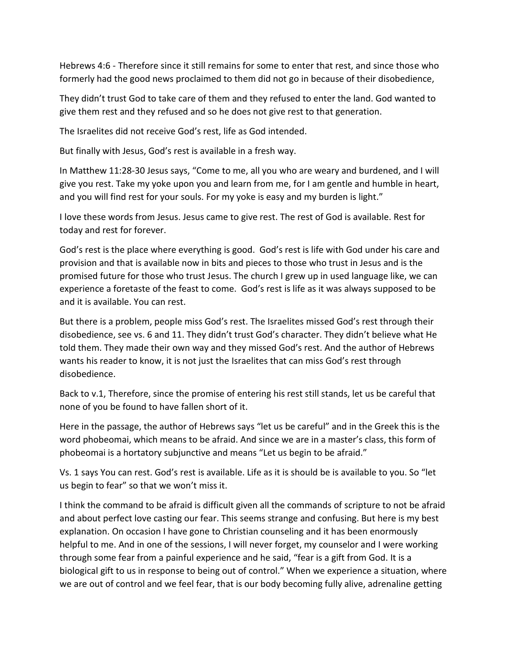Hebrews 4:6 - Therefore since it still remains for some to enter that rest, and since those who formerly had the good news proclaimed to them did not go in because of their disobedience,

They didn't trust God to take care of them and they refused to enter the land. God wanted to give them rest and they refused and so he does not give rest to that generation.

The Israelites did not receive God's rest, life as God intended.

But finally with Jesus, God's rest is available in a fresh way.

In Matthew 11:28-30 Jesus says, "Come to me, all you who are weary and burdened, and I will give you rest. Take my yoke upon you and learn from me, for I am gentle and humble in heart, and you will find rest for your souls. For my yoke is easy and my burden is light."

I love these words from Jesus. Jesus came to give rest. The rest of God is available. Rest for today and rest for forever.

God's rest is the place where everything is good. God's rest is life with God under his care and provision and that is available now in bits and pieces to those who trust in Jesus and is the promised future for those who trust Jesus. The church I grew up in used language like, we can experience a foretaste of the feast to come. God's rest is life as it was always supposed to be and it is available. You can rest.

But there is a problem, people miss God's rest. The Israelites missed God's rest through their disobedience, see vs. 6 and 11. They didn't trust God's character. They didn't believe what He told them. They made their own way and they missed God's rest. And the author of Hebrews wants his reader to know, it is not just the Israelites that can miss God's rest through disobedience.

Back to v.1, Therefore, since the promise of entering his rest still stands, let us be careful that none of you be found to have fallen short of it.

Here in the passage, the author of Hebrews says "let us be careful" and in the Greek this is the word phobeomai, which means to be afraid. And since we are in a master's class, this form of phobeomai is a hortatory subjunctive and means "Let us begin to be afraid."

Vs. 1 says You can rest. God's rest is available. Life as it is should be is available to you. So "let us begin to fear" so that we won't miss it.

I think the command to be afraid is difficult given all the commands of scripture to not be afraid and about perfect love casting our fear. This seems strange and confusing. But here is my best explanation. On occasion I have gone to Christian counseling and it has been enormously helpful to me. And in one of the sessions, I will never forget, my counselor and I were working through some fear from a painful experience and he said, "fear is a gift from God. It is a biological gift to us in response to being out of control." When we experience a situation, where we are out of control and we feel fear, that is our body becoming fully alive, adrenaline getting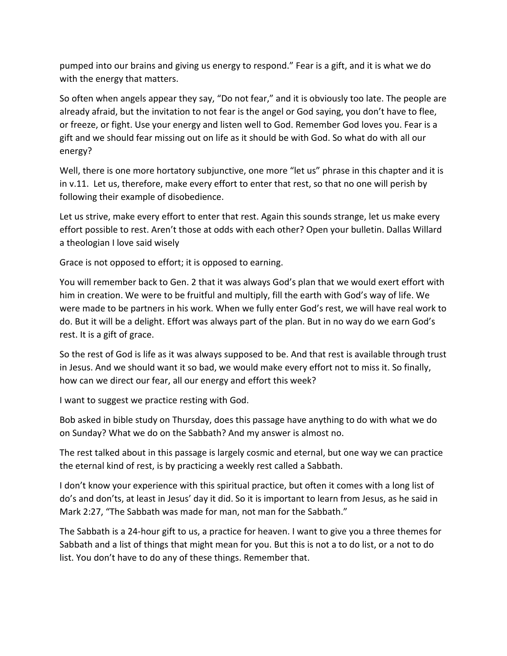pumped into our brains and giving us energy to respond." Fear is a gift, and it is what we do with the energy that matters.

So often when angels appear they say, "Do not fear," and it is obviously too late. The people are already afraid, but the invitation to not fear is the angel or God saying, you don't have to flee, or freeze, or fight. Use your energy and listen well to God. Remember God loves you. Fear is a gift and we should fear missing out on life as it should be with God. So what do with all our energy?

Well, there is one more hortatory subjunctive, one more "let us" phrase in this chapter and it is in v.11. Let us, therefore, make every effort to enter that rest, so that no one will perish by following their example of disobedience.

Let us strive, make every effort to enter that rest. Again this sounds strange, let us make every effort possible to rest. Aren't those at odds with each other? Open your bulletin. Dallas Willard a theologian I love said wisely

Grace is not opposed to effort; it is opposed to earning.

You will remember back to Gen. 2 that it was always God's plan that we would exert effort with him in creation. We were to be fruitful and multiply, fill the earth with God's way of life. We were made to be partners in his work. When we fully enter God's rest, we will have real work to do. But it will be a delight. Effort was always part of the plan. But in no way do we earn God's rest. It is a gift of grace.

So the rest of God is life as it was always supposed to be. And that rest is available through trust in Jesus. And we should want it so bad, we would make every effort not to miss it. So finally, how can we direct our fear, all our energy and effort this week?

I want to suggest we practice resting with God.

Bob asked in bible study on Thursday, does this passage have anything to do with what we do on Sunday? What we do on the Sabbath? And my answer is almost no.

The rest talked about in this passage is largely cosmic and eternal, but one way we can practice the eternal kind of rest, is by practicing a weekly rest called a Sabbath.

I don't know your experience with this spiritual practice, but often it comes with a long list of do's and don'ts, at least in Jesus' day it did. So it is important to learn from Jesus, as he said in Mark 2:27, "The Sabbath was made for man, not man for the Sabbath."

The Sabbath is a 24-hour gift to us, a practice for heaven. I want to give you a three themes for Sabbath and a list of things that might mean for you. But this is not a to do list, or a not to do list. You don't have to do any of these things. Remember that.